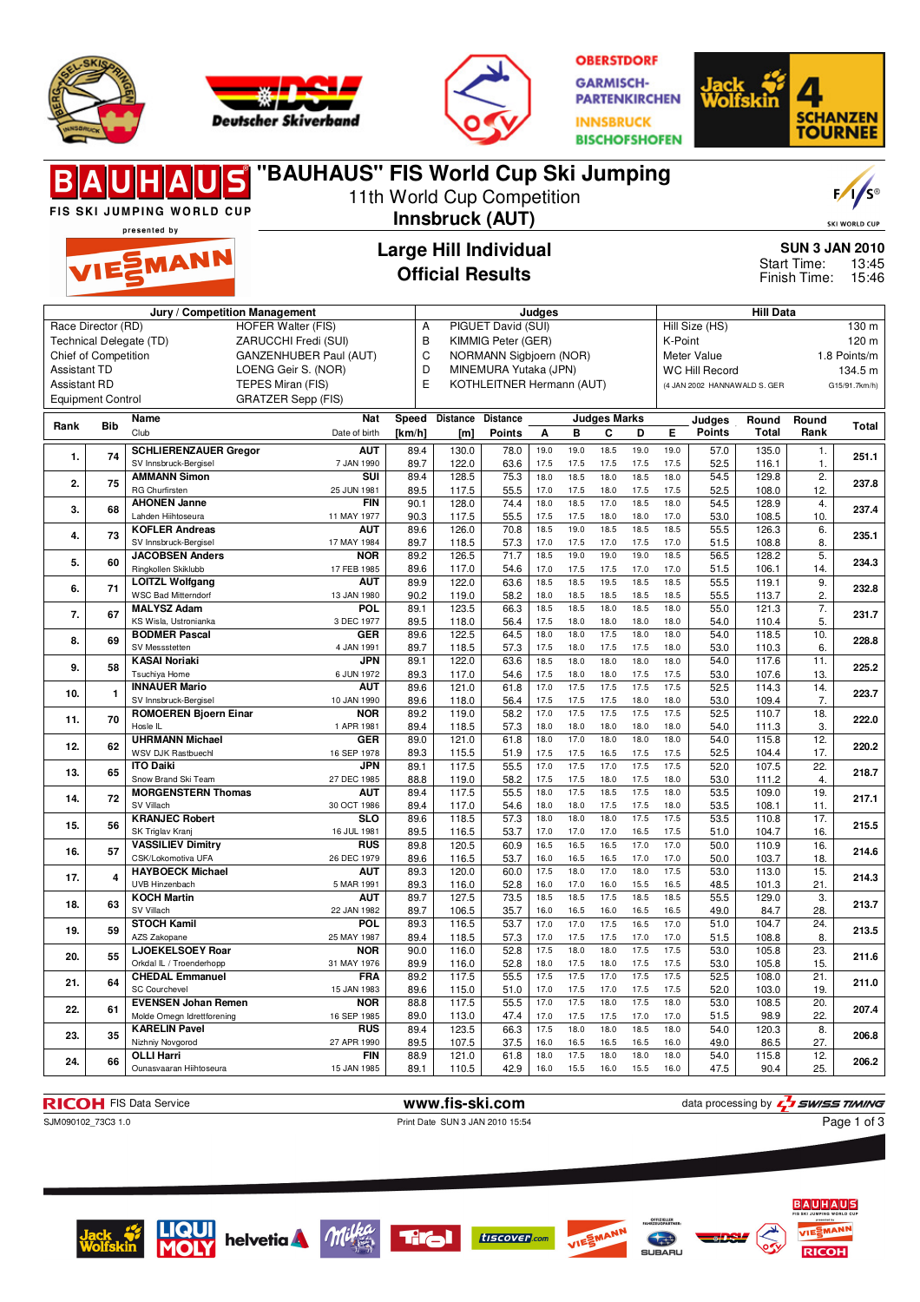





**OBERSTDORF GARMISCH-PARTENKIRCHEN INNSBRUCK BISCHOFSHOFEN** 



|                                                                                              |                          | <b>UHAUS</b><br>FIS SKI JUMPING WORLD CUP             |                             |                                                         | 11th World Cup Competition<br>Innsbruck (AUT) |                           |              |              |                          |                       |              |                       |                              |                             | F/1/s<br><b>SKI WORLD CUP</b> |
|----------------------------------------------------------------------------------------------|--------------------------|-------------------------------------------------------|-----------------------------|---------------------------------------------------------|-----------------------------------------------|---------------------------|--------------|--------------|--------------------------|-----------------------|--------------|-----------------------|------------------------------|-----------------------------|-------------------------------|
|                                                                                              |                          | presented by                                          |                             | <b>Large Hill Individual</b>                            |                                               |                           |              |              |                          |                       |              | <b>SUN 3 JAN 2010</b> |                              |                             |                               |
|                                                                                              |                          | VIESMANN                                              |                             |                                                         | <b>Official Results</b>                       |                           |              |              |                          |                       |              |                       |                              | Start Time:<br>Finish Time: | 13:45<br>15:46                |
|                                                                                              |                          | Jury / Competition Management                         |                             |                                                         |                                               |                           | Judges       |              |                          |                       |              |                       | <b>Hill Data</b>             |                             |                               |
| Race Director (RD)                                                                           |                          |                                                       | <b>HOFER Walter (FIS)</b>   | A                                                       |                                               | PIGUET David (SUI)        |              |              |                          |                       |              | Hill Size (HS)        |                              |                             | 130 m                         |
| Technical Delegate (TD)<br>ZARUCCHI Fredi (SUI)                                              |                          |                                                       |                             | B<br>KIMMIG Peter (GER)<br>C<br>NORMANN Sigbjoern (NOR) |                                               |                           |              |              | K-Point<br>Meter Value   |                       |              |                       | 120 m<br>1.8 Points/m        |                             |                               |
| Chief of Competition<br>GANZENHUBER Paul (AUT)<br><b>Assistant TD</b><br>LOENG Geir S. (NOR) |                          |                                                       |                             | D<br>MINEMURA Yutaka (JPN)                              |                                               |                           |              |              |                          | <b>WC Hill Record</b> |              |                       | 134.5 m                      |                             |                               |
| <b>Assistant RD</b>                                                                          |                          |                                                       | TEPES Miran (FIS)           | E                                                       |                                               | KOTHLEITNER Hermann (AUT) |              |              |                          |                       |              |                       | (4 JAN 2002 HANNAWALD S. GER |                             | G15/91.7km/h)                 |
|                                                                                              | <b>Equipment Control</b> |                                                       | <b>GRATZER Sepp (FIS)</b>   |                                                         |                                               |                           |              |              |                          |                       |              |                       |                              |                             |                               |
| Rank                                                                                         | <b>Bib</b>               | Name<br>Club                                          | <b>Nat</b><br>Date of birth | Speed<br>[km/h]                                         | <b>Distance</b><br>[m]                        | Distance<br><b>Points</b> | Α            | В            | <b>Judges Marks</b><br>С | D                     | E            | Judges<br>Points      | Round<br>Total               | Round<br>Rank               | Total                         |
|                                                                                              |                          | <b>SCHLIERENZAUER Gregor</b>                          | <b>AUT</b>                  | 89.4                                                    | 130.0                                         | 78.0                      | 19.0         | 19.0         | 18.5                     | 19.0                  | 19.0         | 57.0                  | 135.0                        | 1.                          |                               |
| 1.                                                                                           | 74                       | SV Innsbruck-Bergisel                                 | 7 JAN 1990                  | 89.7                                                    | 122.0                                         | 63.6                      | 17.5         | 17.5         | 17.5                     | 17.5                  | 17.5         | 52.5                  | 116.1                        | 1.                          | 251.1                         |
| 2.                                                                                           | 75                       | <b>AMMANN Simon</b><br><b>RG Churfirsten</b>          | SUI<br>25 JUN 1981          | 89.4                                                    | 128.5                                         | 75.3                      | 18.0<br>17.0 | 18.5<br>17.5 | 18.0<br>18.0             | 18.5<br>17.5          | 18.0<br>17.5 | 54.5                  | 129.8                        | 2.                          | 237.8                         |
|                                                                                              |                          | <b>AHONEN Janne</b>                                   | <b>FIN</b>                  | 89.5<br>90.1                                            | 117.5<br>128.0                                | 55.5<br>74.4              | 18.0         | 18.5         | 17.0                     | 18.5                  | 18.0         | 52.5<br>54.5          | 108.0<br>128.9               | 12.<br>4.                   |                               |
| 3.                                                                                           | 68                       | Lahden Hiihtoseura                                    | 11 MAY 1977                 | 90.3                                                    | 117.5                                         | 55.5                      | 17.5         | 17.5         | 18.0                     | 18.0                  | 17.0         | 53.0                  | 108.5                        | 10.                         | 237.4                         |
| 4.                                                                                           | 73                       | <b>KOFLER Andreas</b>                                 | <b>AUT</b>                  | 89.6                                                    | 126.0                                         | 70.8                      | 18.5         | 19.0         | 18.5                     | 18.5                  | 18.5         | 55.5                  | 126.3                        | 6.                          | 235.1                         |
|                                                                                              |                          | SV Innsbruck-Bergisel<br><b>JACOBSEN Anders</b>       | 17 MAY 1984<br><b>NOR</b>   | 89.7<br>89.2                                            | 118.5<br>126.5                                | 57.3<br>71.7              | 17.0<br>18.5 | 17.5<br>19.0 | 17.0<br>19.0             | 17.5<br>19.0          | 17.0<br>18.5 | 51.5<br>56.5          | 108.8<br>128.2               | 8.<br>5.                    |                               |
| 5.                                                                                           | 60                       | Ringkollen Skiklubb                                   | 17 FEB 1985                 | 89.6                                                    | 117.0                                         | 54.6                      | 17.0         | 17.5         | 17.5                     | 17.0                  | 17.0         | 51.5                  | 106.1                        | 14.                         | 234.3                         |
| 6.                                                                                           | 71                       | <b>LOITZL Wolfgang</b>                                | <b>AUT</b>                  | 89.9                                                    | 122.0                                         | 63.6                      | 18.5         | 18.5         | 19.5                     | 18.5                  | 18.5         | 55.5                  | 119.1                        | 9.                          | 232.8                         |
|                                                                                              |                          | <b>WSC Bad Mitterndorf</b><br><b>MALYSZ Adam</b>      | 13 JAN 1980<br>POL          | 90.2<br>89.1                                            | 119.0<br>123.5                                | 58.2<br>66.3              | 18.0<br>18.5 | 18.5<br>18.5 | 18.5<br>18.0             | 18.5<br>18.5          | 18.5<br>18.0 | 55.5<br>55.0          | 113.7<br>121.3               | 2.<br>7.                    |                               |
| 7.                                                                                           | 67                       | KS Wisla, Ustronianka                                 | 3 DEC 1977                  | 89.5                                                    | 118.0                                         | 56.4                      | 17.5         | 18.0         | 18.0                     | 18.0                  | 18.0         | 54.0                  | 110.4                        | 5.                          | 231.7                         |
| 8.                                                                                           | 69                       | <b>BODMER Pascal</b>                                  | <b>GER</b>                  | 89.6                                                    | 122.5                                         | 64.5                      | 18.0         | 18.0         | 17.5                     | 18.0                  | 18.0         | 54.0                  | 118.5                        | 10.                         | 228.8                         |
|                                                                                              |                          | SV Messstetten<br><b>KASAI Noriaki</b>                | 4 JAN 1991<br><b>JPN</b>    | 89.7<br>89.1                                            | 118.5<br>122.0                                | 57.3<br>63.6              | 17.5<br>18.5 | 18.0<br>18.0 | 17.5<br>18.0             | 17.5<br>18.0          | 18.0<br>18.0 | 53.0<br>54.0          | 110.3<br>117.6               | 6.<br>11.                   |                               |
| 9.                                                                                           | 58                       | Tsuchiya Home                                         | 6 JUN 1972                  | 89.3                                                    | 117.0                                         | 54.6                      | 17.5         | 18.0         | 18.0                     | 17.5                  | 17.5         | 53.0                  | 107.6                        | 13.                         | 225.2                         |
| 10.                                                                                          | 1                        | <b>INNAUER Mario</b>                                  | AUT                         | 89.6                                                    | 121.0                                         | 61.8                      | 17.0         | 17.5         | 17.5                     | 17.5                  | 17.5         | 52.5                  | 114.3                        | 14.                         | 223.7                         |
|                                                                                              |                          | SV Innsbruck-Bergisel<br><b>ROMOEREN Bjoern Einar</b> | 10 JAN 1990<br><b>NOR</b>   | 89.6<br>89.2                                            | 118.0<br>119.0                                | 56.4<br>58.2              | 17.5<br>17.0 | 17.5<br>17.5 | 17.5<br>17.5             | 18.0<br>17.5          | 18.0<br>17.5 | 53.0<br>52.5          | 109.4<br>110.7               | 7.<br>18.                   |                               |
| 11.                                                                                          | 70                       | Hosle IL                                              | 1 APR 1981                  | 89.4                                                    | 118.5                                         | 57.3                      | 18.0         | 18.0         | 18.0                     | 18.0                  | 18.0         | 54.0                  | 111.3                        | 3.                          | 222.0                         |
| 12.                                                                                          | 62                       | <b>UHRMANN Michael</b>                                | <b>GER</b>                  | 89.0                                                    | 121.0                                         | 61.8                      | 18.0         | 17.0         | 18.0                     | 18.0                  | 18.0         | 54.0                  | 115.8                        | 12.                         | 220.2                         |
|                                                                                              |                          | WSV DJK Rastbuechl                                    | 16 SEP 1978                 | 89.3                                                    | 115.5                                         | 51.9                      | 17.5         | 17.5         | 16.5                     | 17.5                  | 17.5         | 52.5                  | 104.4                        | 17.                         |                               |
| 13.                                                                                          | 65                       | <b>ITO Daiki</b><br>Snow Brand Ski Team               | <b>JPN</b><br>27 DEC 1985   | 89.1<br>88.8                                            | 117.5<br>119.0                                | 55.5<br>58.2              | 17.0<br>17.5 | 17.5<br>17.5 | 17.0<br>18.0             | 17.5<br>17.5          | 17.5<br>18.0 | 52.0<br>53.0          | 107.5<br>111.2               | 22.<br>4.                   | 218.7                         |
| 14.                                                                                          | 72                       | <b>MORGENSTERN Thomas</b>                             | <b>AUT</b>                  | 89.4                                                    | 117.5                                         | 55.5                      | 18.0         | 17.5         | 18.5                     | 17.5                  | 18.0         | 53.5                  | 109.0                        | 19.                         | 217.1                         |
|                                                                                              |                          | SV Villach                                            | 30 OCT 1986                 | 89.4                                                    | 117.0                                         | 54.6                      | 18.0         | 18.0         | 17.5                     | 17.5                  | 18.0         | 53.5                  | 108.1                        | 11.                         |                               |
| 15.                                                                                          | 56                       | <b>KRANJEC Robert</b><br>SK Triglav Kranj             | <b>SLO</b><br>16 JUL 1981   | 89.6<br>89.5                                            | 118.5<br>116.5                                | 57.3<br>53.7              | 18.0<br>17.0 | 18.0<br>17.0 | 18.0<br>17.0             | 17.5<br>16.5          | 17.5<br>17.5 | 53.5<br>51.0          | 110.8<br>104.7               | 17.<br>16.                  | 215.5                         |
|                                                                                              | 57                       | <b>VASSILIEV Dimitry</b>                              | <b>RUS</b>                  | 89.8                                                    | 120.5                                         | 60.9                      | 16.5         | 16.5         | 16.5                     | 17.0                  | 17.0         | 50.0                  | 110.9                        | 16.                         | 214.6                         |
| 16.                                                                                          |                          | CSK/Lokomotiva UFA                                    | 26 DEC 1979                 | 89.6                                                    | 116.5                                         | 53.7                      | 16.0         | 16.5         | 16.5                     | 17.0                  | 17.0         | 50.0                  | 103.7                        | 18.                         |                               |
| 17.                                                                                          | 4                        | <b>HAYBOECK Michael</b><br>UVB Hinzenbach             | AUT<br>5 MAR 1991           | 89.3<br>89.3                                            | 120.0<br>116.0                                | 60.0<br>52.8              | 17.5<br>16.0 | 18.0<br>17.0 | 17.0<br>16.0             | 18.0<br>15.5          | 17.5<br>16.5 | 53.0<br>48.5          | 113.0<br>101.3               | 15.<br>21.                  | 214.3                         |
| 18.                                                                                          | 63                       | <b>KOCH Martin</b>                                    | <b>AUT</b>                  | 89.7                                                    | 127.5                                         | 73.5                      | 18.5         | 18.5         | 17.5                     | 18.5                  | 18.5         | 55.5                  | 129.0                        | 3.                          | 213.7                         |
|                                                                                              |                          | SV Villach                                            | 22 JAN 1982                 | 89.7                                                    | 106.5                                         | 35.7                      | 16.0         | 16.5         | 16.0                     | 16.5                  | 16.5         | 49.0                  | 84.7                         | 28.                         |                               |
| 19.                                                                                          | 59                       | <b>STOCH Kamil</b><br>AZS Zakopane                    | <b>POL</b><br>25 MAY 1987   | 89.3<br>89.4                                            | 116.5<br>118.5                                | 53.7<br>57.3              | 17.0<br>17.0 | 17.0<br>17.5 | 17.5<br>17.5             | 16.5<br>17.0          | 17.0<br>17.0 | 51.0<br>51.5          | 104.7<br>108.8               | 24.<br>8.                   | 213.5                         |
| 20.                                                                                          | 55                       | <b>LJOEKELSOEY Roar</b>                               | <b>NOR</b>                  | 90.0                                                    | 116.0                                         | 52.8                      | 17.5         | 18.0         | 18.0                     | 17.5                  | 17.5         | 53.0                  | 105.8                        | 23.                         | 211.6                         |
|                                                                                              |                          | Orkdal IL / Troenderhopp                              | 31 MAY 1976                 | 89.9                                                    | 116.0                                         | 52.8                      | 18.0         | 17.5         | 18.0                     | 17.5                  | 17.5         | 53.0                  | 105.8                        | 15.                         |                               |
| 21.                                                                                          | 64                       | <b>CHEDAL Emmanuel</b><br><b>SC Courchevel</b>        | <b>FRA</b><br>15 JAN 1983   | 89.2<br>89.6                                            | 117.5<br>115.0                                | 55.5<br>51.0              | 17.5<br>17.0 | 17.5<br>17.5 | 17.0<br>17.0             | 17.5<br>17.5          | 17.5<br>17.5 | 52.5<br>52.0          | 108.0<br>103.0               | 21.<br>19.                  | 211.0                         |
|                                                                                              |                          | <b>EVENSEN Johan Remen</b>                            | <b>NOR</b>                  | 88.8                                                    | 117.5                                         | 55.5                      | 17.0         | 17.5         | 18.0                     | 17.5                  | 18.0         | 53.0                  | 108.5                        | 20.                         |                               |
| 22.                                                                                          | 61                       | Molde Omegn Idrettforening                            | 16 SEP 1985                 | 89.0                                                    | 113.0                                         | 47.4                      | 17.0         | 17.5         | 17.5                     | 17.0                  | 17.0         | 51.5                  | 98.9                         | 22.                         | 207.4                         |
| 23.                                                                                          | 35                       | <b>KARELIN Pavel</b><br>Nizhniy Novgorod              | <b>RUS</b><br>27 APR 1990   | 89.4                                                    | 123.5                                         | 66.3                      | 17.5         | 18.0         | 18.0                     | 18.5<br>16.5          | 18.0         | 54.0                  | 120.3                        | 8.                          | 206.8                         |
|                                                                                              |                          | <b>OLLI Harri</b>                                     | <b>FIN</b>                  | 89.5<br>88.9                                            | 107.5<br>121.0                                | 37.5<br>61.8              | 16.0<br>18.0 | 16.5<br>17.5 | 16.5<br>18.0             | 18.0                  | 16.0<br>18.0 | 49.0<br>54.0          | 86.5<br>115.8                | 27.<br>12.                  |                               |
| 24.                                                                                          | 66                       | Ounasvaaran Hiihtoseura                               | 15 JAN 1985                 | 89.1                                                    | 110.5                                         | 42.9                      | 16.0         | 15.5         | 16.0                     | 15.5                  | 16.0         | 47.5                  | 90.4                         | 25.                         | 206.2                         |

**RICOH** FIS Data Service **www.fis-ski.com** data processing by  $\frac{7}{2}$  SWISS TIMING SUN090102\_73C3 1.0<br>
Print Date SUN 3 JAN 2010 15:54 Page 1 of 3

Print Date SUN 3 JAN 2010 15:54

Page 1 of 3













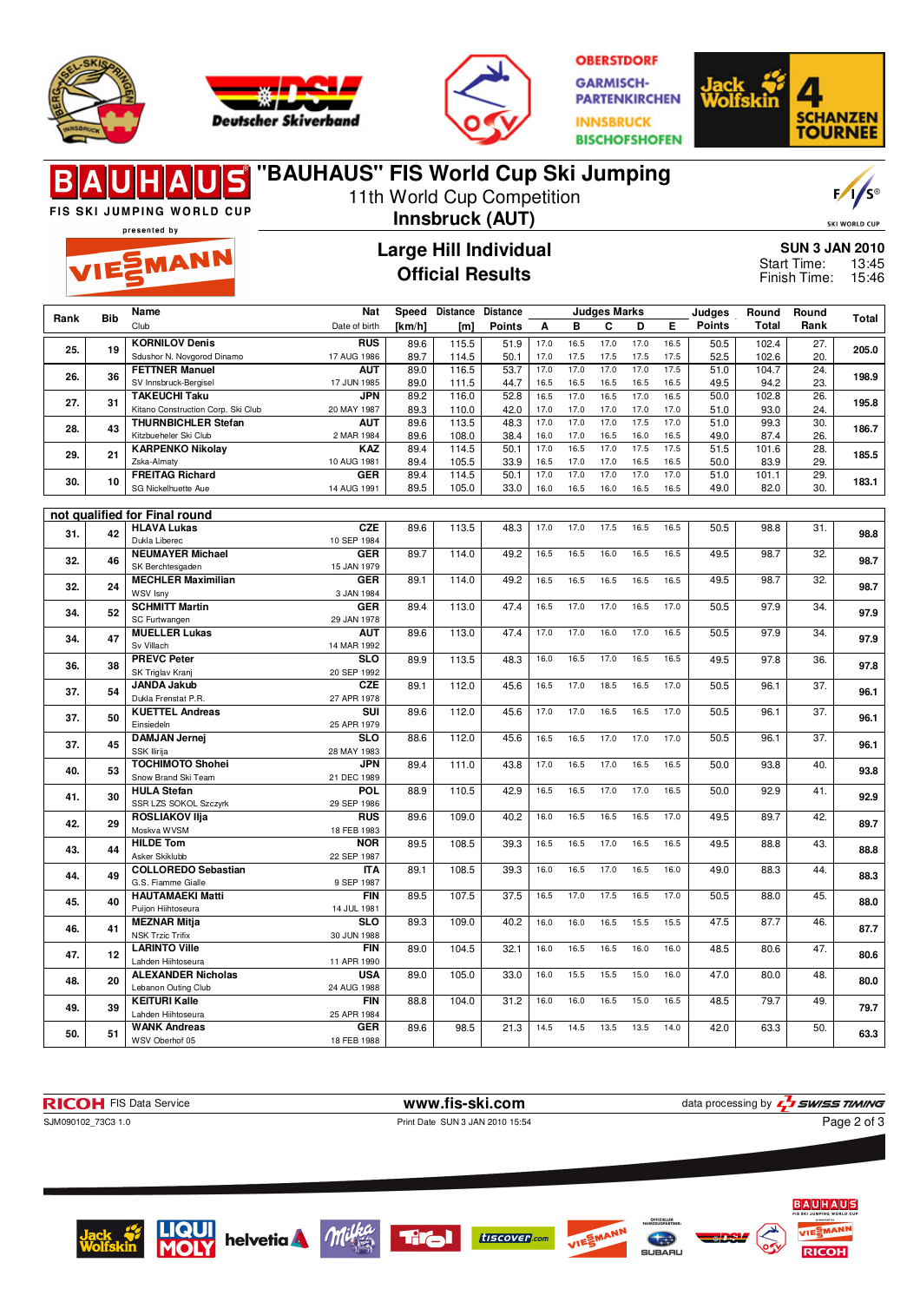





**OBERSTDORF GARMISCH-PARTENKIRCHEN INNSBRUCK BISCHOFSHOFEN** 



## **"BAUHAUS" FIS World Cup Ski Jumping**  $F/1/S^{\circ}$ 11th World Cup Competition FIS SKI JUMPING WORLD CUP **Innsbruck (AUT)** SKI WORLD CUR presented by **Large Hill Individual SUN 3 JAN 2010 EMANN** Start Time: 13:45 **Official Results** Finish Time: 15:46 **Nat Judges Marks Rank Bib Name Judges Round Round Speed Distance Distance Rank Total** Date of birth Club **Points Total [km/h] [m] Points A B C D E 25. 19 KORNILOV Denis RUS**<br>17 AUG 1986 **RUS** 89.6 115.5 51.9 17.0 16.5 17.0 16.5 50.5 102.4 27. 205.0<br>17 AUG 1986 89.7 114.5 50.1 17.0 17.5 17.5 17.5 17.5 52.5 102.6 20. Sdushor N. Novgorod Dinamo 89.7 | 114.5 | 50.1 | 17.0 17.5 17.5 17.5 17.5 | 52.5 | 102.6 | 20. **26. 36 FETTNER Manuel AUT**<br>17 JUN 1985 **4UT** 89.0 116.5 53.7 17.0 17.0 17.0 17.0 17.5 51.0 104.7 24. 198.9<br>17 JUN 1985 89.0 111.5 44.7 16.5 16.5 16.5 16.5 16.5 16.5 49.5 49.9 94.2 23. SV Innsbruck-Bergisel 89.0 111.5 44.7 16.5 16.5 16.5 16.5 16.5 49.5 94.2 23. **27. 31 TAKEUCHI Taku JPN 195.8 195.8 195.8 195.8 195.8 195.8 195.8 195.8 195.8** Kitano Construction Corp. Ski Club 20 MAY 1987 89.3 | 110.0 | 42.0 | 17.0 17.0 17.0 17.0 17.0 | 51.0 | 93.0 | 24. **28. 43 THURNBICHLER Stefan AUT 186.7** 89.6 **113.5** 48.3 17.0 17.0 17.0 17.5 17.0 51.0 99.3 30. **186.7** Kitzbueheler Ski Club 2 MAR 1984 89.6 108.0 38.4 16.0 17.0 16.5 16.0 16.5 49.0 87.4 26. **29. 21 KARPENKO Nikolay KAZ** 10 **KAZ** 89.4 114.5 50.1 17.0 16.5 17.0 17.5 17.5 51.5 101.6 28.<br>10 AUG 1981 89.4 105.5 33.9 16.5 17.0 17.0 16.5 16.5 50.0 83.9 29. Zska-Almaty 89.4 | 105.5 | 33.9 | 16.5 17.0 17.0 16.5 16.5 | 50.0 | 83.9 | 29. **30. 10 FREITAG Richard GER GER** 89.4 114.5 50.1 17.0 17.0 17.0 17.0 17.0 51.0 101.1 29. 183.1<br>14 AUG 1991 89.5 105.0 33.0 16.0 16.5 16.0 16.5 16.5 49.0 82.0 30. SG Nickelhuette Aue 89.5 | 105.0 | 33.0 | 16.0 16.5 16.0 16.5 16.5 | 49.0 | 82.0 | 30. **not qualified for Final round 31. 42 HLAVA Lukas CZE CZE** 89.6 113.5 48.3 17.0 17.0 17.5 16.5 16.5 50.5 98.8 31. 98.8 Dukla Liberec **32. 46 NEUMAYER Michael GER GER** 89.7 114.0 49.2 16.5 16.5 16.0 16.5 16.5 49.5 98.7 32. 98.7 SK Berchtesgaden **32. 24 MECHLER Maximilian GER** 89.1 | 114.0 | 49.2 | 16.5 16.5 16.5 16.5 16.5 | 49.5 | 98.7 | 32. | **98.7** WSV Isny 3 JAN 1984 **34. 52 SCHMITT Martin GER** 89.4 | 113.0 | 47.4 | 16.5 17.0 17.0 16.5 17.0 | 50.5 | 97.9 | 34. | **97.9** SC Furtwangen 29 JAN 1978 **34. 47 MUELLER Lukas AUT AUT** 89.6 113.0 47.4 17.0 17.0 16.0 17.0 16.5 50.5 97.9 34. 97.9<br>14 MAR 1992 Sv Villach **36. 38 PREVC Peter SLO SLO** 89.9 113.5 48.3 16.0 16.5 17.0 16.5 16.5 49.5 97.8 36. 97.8<br>20 SEP 1992 SK Triglav Kranj<br>**JANDA Jakub CZE 37. 54 JANDA Jakub** Dukla Frenstat P.R. **89.1 | 112.0 | 45.6 | 16.5 17.0 18.5 16.5 17.0 | 50.5 | 96.1 | 37. | 96.1** 27 APR 1978 **37. 50 KUETTEL Andreas SUI** 89.6 | 112.0 | 45.6 | 17.0 17.0 16.5 16.5 17.0 | 50.5 | 96.1 | 37. | **96.1** Einsiedel 25 APR 1979 **37. 45 DAMJAN Jernej SLO 96.1 96.1 88.6 112.0 45.6 16.5 16.5 17.0 17.0 17.0 50.5 96.1 37. 96.1 96.1** SSK Ilirija **40. 53 TOCHIMOTO Shohei JPN**<br>21 DEC 1989 **JPN** 89.4 111.0 43.8 17.0 16.5 17.0 16.5 16.5 50.0 93.8 40. 93.8 Snow Brand Ski Team **POL**<br>29 SEP 1986 **41. 30 HULA Stefan** SSR LZS SOKOL Szczyrk **POL** 88.9 110.5 42.9 16.5 16.5 17.0 17.0 16.5 50.0 92.9 41. 92.9 **42. 29 ROSLIAKOV Ilja RUS 89.6** 109.0 40.2 16.0 16.5 16.5 16.5 17.0 49.5 89.7 42. 89.7 18 FEB 1983 Moskva WVSM **NOR**<br>22 SEP 1987 **43. 44 HILDE Tom** Asker Skiklubb **NOR** 89.5 108.5 39.3 16.5 16.5 17.0 16.5 16.5 49.5 88.8 43. 88.8<br>22 SEP 1987 **44. 49 COLLOREDO Sebastian ITA ITA** 89.1 108.5 39.3 16.0 16.5 17.0 16.5 16.0 49.0 88.3 44. 88.3<br>9 SEP 1987 G.S. Fiamme Gialle **45. 40 HAUTAMAEKI Matti FIN 89.5** 107.5 37.5 16.5 17.0 17.5 16.5 17.0 50.5 88.0 45. Puijon Hiihtoseura 14 JUL 1981 **46. 41 MEZNAR Mitja SLO 89.3** 109.0 40.2 16.0 16.0 16.5 15.5 15.5 47.5 87.7 46. **87.7** NSK Trzic Trifix 30 JUN 1988 **47. 12 LARINTO Ville FIN FIN** 89.0 104.5 32.1 16.0 16.5 16.5 16.0 16.0 48.5 80.6 47. 80.6<br>11 APR 1990 Lahden Hiihtoseura **48. 20 ALEXANDER Nicholas USA USA** 89.0 105.0 33.0 16.0 15.5 15.5 15.0 16.0 47.0 80.0 48. 80.0 Lebanon Outing Club **FIN 49. 39 KEITURI Kalle** Lahden Hiihtoseura 88.8 | 104.0 | 31.2 | 16.0 16.0 16.5 15.0 16.5 | 48.5 | 79.7 | 49. | 7**9.7** 25 APR 1984 **50. 51 WANK Andreas** GER<br>18 FEB 1988 **GER** 89.6 98.5 21.3 14.5 14.5 13.5 14.0 42.0 63.3 50. 63.3 WSV Oberhof 05